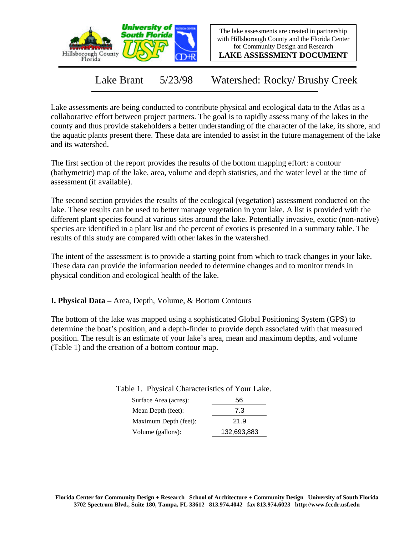



**LAKE ASSESSMENT DOCUMENT**

Lake Brant 5/23/98 Watershed: Rocky/ Brushy Creek

Lake assessments are being conducted to contribute physical and ecological data to the Atlas as a collaborative effort between project partners. The goal is to rapidly assess many of the lakes in the county and thus provide stakeholders a better understanding of the character of the lake, its shore, and the aquatic plants present there. These data are intended to assist in the future management of the lake and its watershed.

The first section of the report provides the results of the bottom mapping effort: a contour (bathymetric) map of the lake, area, volume and depth statistics, and the water level at the time of assessment (if available).

The second section provides the results of the ecological (vegetation) assessment conducted on the lake. These results can be used to better manage vegetation in your lake. A list is provided with the different plant species found at various sites around the lake. Potentially invasive, exotic (non-native) species are identified in a plant list and the percent of exotics is presented in a summary table. The results of this study are compared with other lakes in the watershed.

The intent of the assessment is to provide a starting point from which to track changes in your lake. These data can provide the information needed to determine changes and to monitor trends in physical condition and ecological health of the lake.

**I. Physical Data –** Area, Depth, Volume, & Bottom Contours

The bottom of the lake was mapped using a sophisticated Global Positioning System (GPS) to determine the boat's position, and a depth-finder to provide depth associated with that measured position. The result is an estimate of your lake's area, mean and maximum depths, and volume (Table 1) and the creation of a bottom contour map.

> Surface Area (acres): 56 Table 1. Physical Characteristics of Your Lake.

| Surface Area (acres): | oc          |  |  |
|-----------------------|-------------|--|--|
| Mean Depth (feet):    | 7.3         |  |  |
| Maximum Depth (feet): | 21.9        |  |  |
| Volume (gallons):     | 132,693,883 |  |  |
|                       |             |  |  |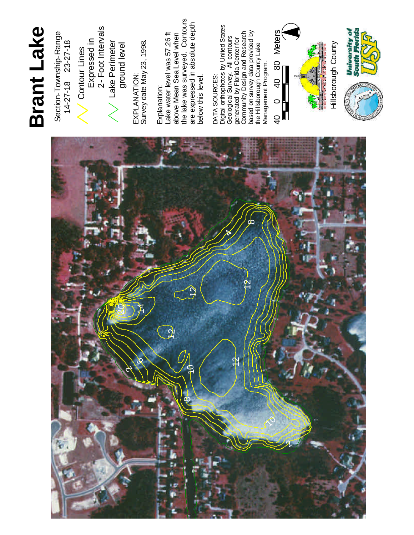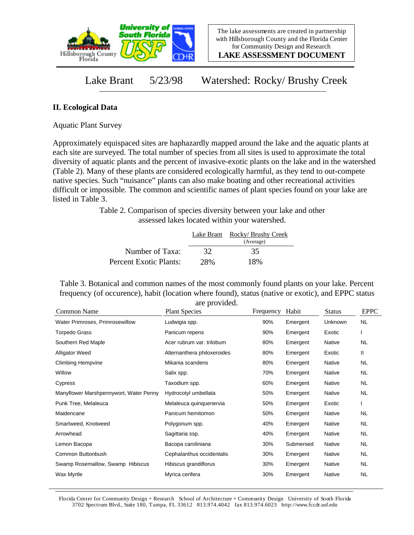

**LAKE ASSESSMENT DOCUMENT**

## Lake Brant 5/23/98 Watershed: Rocky/ Brushy Creek

## **II. Ecological Data**

Aquatic Plant Survey

Approximately equispaced sites are haphazardly mapped around the lake and the aquatic plants at each site are surveyed. The total number of species from all sites is used to approximate the total diversity of aquatic plants and the percent of invasive-exotic plants on the lake and in the watershed (Table 2). Many of these plants are considered ecologically harmful, as they tend to out-compete native species. Such "nuisance" plants can also make boating and other recreational activities difficult or impossible. The common and scientific names of plant species found on your lake are listed in Table 3.

> Table 2. Comparison of species diversity between your lake and other assessed lakes located within your watershed.

|                        | Lake Brant | Rocky/ Brushy Creek<br>(Average) |
|------------------------|------------|----------------------------------|
| Number of Taxa:        | 32         | 35                               |
| Percent Exotic Plants: | 2.8%       | 18%                              |

Table 3. Botanical and common names of the most commonly found plants on your lake. Percent frequency (of occurence), habit (location where found), status (native or exotic), and EPPC status are provided.

| Common Name                            | <b>Plant Species</b>        | Frequency | Habit     | <b>Status</b> | <b>EPPC</b> |
|----------------------------------------|-----------------------------|-----------|-----------|---------------|-------------|
| Water Primroses, Primrosewillow        | Ludwigia spp.               | 90%       | Emergent  | Unknown       | <b>NL</b>   |
| Torpedo Grass                          | Panicum repens              | 90%       | Emergent  | Exotic        |             |
| Southern Red Maple                     | Acer rubrum var. trilobum   | 80%       | Emergent  | Native        | NL          |
| <b>Alligator Weed</b>                  | Alternanthera philoxeroides | 80%       | Emergent  | Exotic        | Ш           |
| <b>Climbing Hempvine</b>               | Mikania scandens            | 80%       | Emergent  | Native        | NL          |
| Willow                                 | Salix spp.                  | 70%       | Emergent  | Native        | NL          |
| Cypress                                | Taxodium spp.               | 60%       | Emergent  | Native        | <b>NL</b>   |
| Manyflower Marshpennywort, Water Penny | Hydrocotyl umbellata        | 50%       | Emergent  | Native        | <b>NL</b>   |
| Punk Tree, Melaleuca                   | Melaleuca quinquenervia     | 50%       | Emergent  | Exotic        |             |
| Maidencane                             | Panicum hemitomon           | 50%       | Emergent  | Native        | NL          |
| Smartweed, Knotweed                    | Polygonum spp.              | 40%       | Emergent  | Native        | NL          |
| Arrowhead                              | Sagittaria ssp.             | 40%       | Emergent  | Native        | NL          |
| Lemon Bacopa                           | Bacopa caroliniana          | 30%       | Submersed | Native        | <b>NL</b>   |
| Common Buttonbush                      | Cephalanthus occidentalis   | 30%       | Emergent  | Native        | NL          |
| Swamp Rosemallow, Swamp Hibiscus       | Hibiscus grandiflorus       | 30%       | Emergent  | Native        | NL          |
| Wax Myrtle                             | Myrica cerifera             | 30%       | Emergent  | Native        | <b>NL</b>   |

Florida Center for Community Design + Research School of Architecture + Community Design University of South Florida 3702 Spectrum Blvd., Suite 180, Tampa, FL 33612 813.974.4042 fax 813.974.6023 http://www.fccdr.usf.edu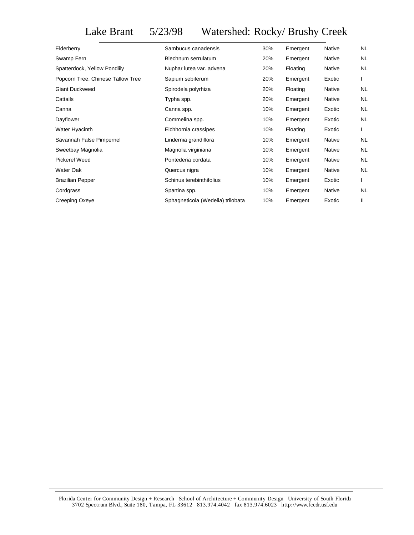Lake Brant 5/23/98 Watershed: Rocky/ Brushy Creek

| Elderberry                        | Sambucus canadensis               | 30% | Emergent | Native | <b>NL</b> |
|-----------------------------------|-----------------------------------|-----|----------|--------|-----------|
| Swamp Fern                        | Blechnum serrulatum               | 20% | Emergent | Native | <b>NL</b> |
| Spatterdock, Yellow Pondlily      | Nuphar lutea var. advena          | 20% | Floating | Native | <b>NL</b> |
| Popcorn Tree, Chinese Tallow Tree | Sapium sebiferum                  | 20% | Emergent | Exotic |           |
| <b>Giant Duckweed</b>             | Spirodela polyrhiza               | 20% | Floating | Native | <b>NL</b> |
| Cattails                          | Typha spp.                        | 20% | Emergent | Native | <b>NL</b> |
| Canna                             | Canna spp.                        | 10% | Emergent | Exotic | <b>NL</b> |
| Dayflower                         | Commelina spp.                    | 10% | Emergent | Exotic | <b>NL</b> |
| Water Hyacinth                    | Eichhornia crassipes              | 10% | Floating | Exotic |           |
| Savannah False Pimpernel          | Lindernia grandiflora             | 10% | Emergent | Native | <b>NL</b> |
| Sweetbay Magnolia                 | Magnolia virginiana               | 10% | Emergent | Native | <b>NL</b> |
| Pickerel Weed                     | Pontederia cordata                | 10% | Emergent | Native | <b>NL</b> |
| Water Oak                         | Quercus nigra                     | 10% | Emergent | Native | <b>NL</b> |
| <b>Brazilian Pepper</b>           | Schinus terebinthifolius          | 10% | Emergent | Exotic |           |
| Cordgrass                         | Spartina spp.                     | 10% | Emergent | Native | <b>NL</b> |
| Creeping Oxeye                    | Sphagneticola (Wedelia) trilobata | 10% | Emergent | Exotic | Ш         |
|                                   |                                   |     |          |        |           |